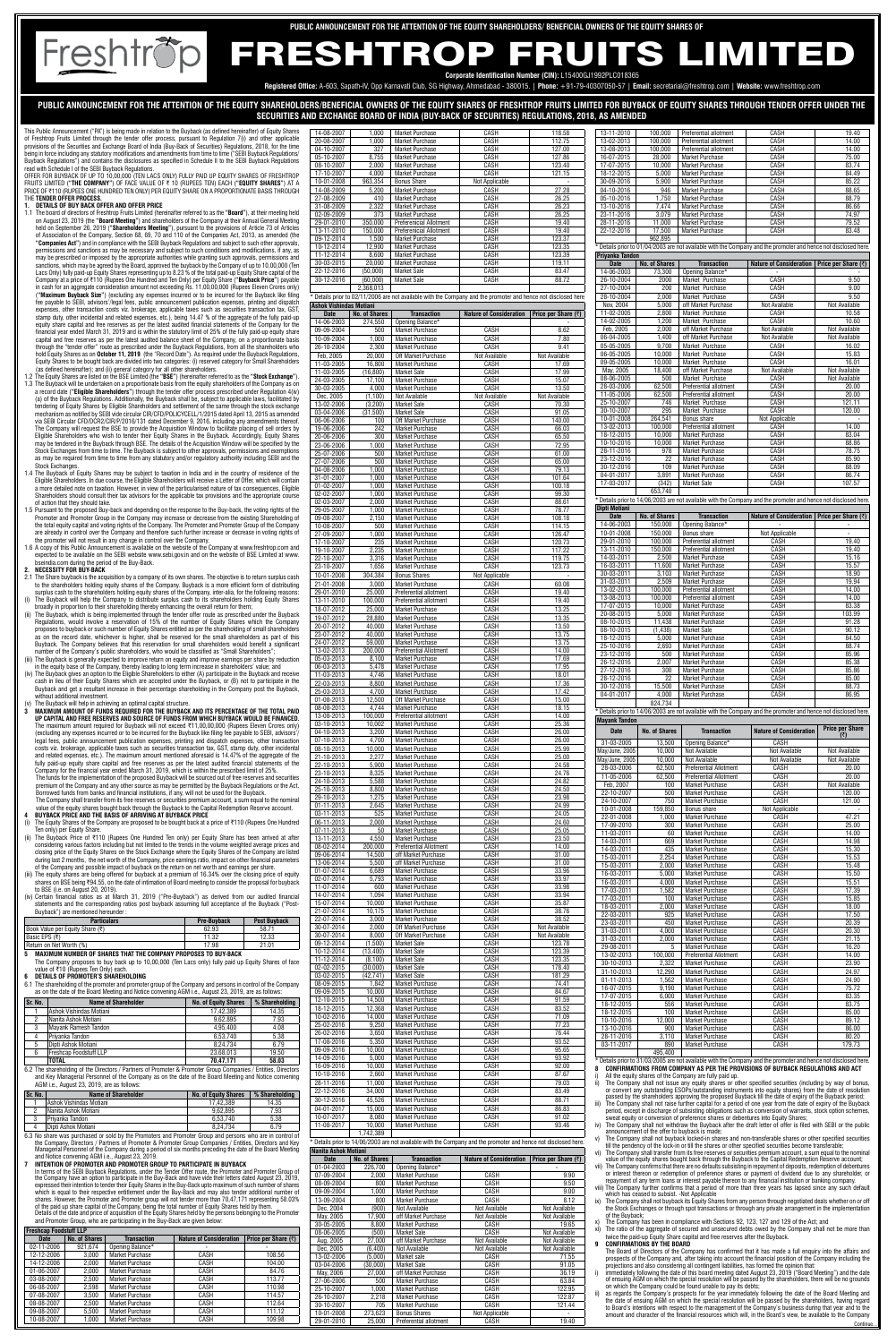**PUBLIC ANNOUNCEMENT FOR THE ATTENTION OF THE EQUITY SHAREHOLDERS/BENEFICIAL OWNERS OF THE EQUITY SHARES OF FRESHTROP FRUITS LIMITED FOR BUYBACK OF EQUITY SHARES THROUGH TENDER OFFER UNDER THE SECURITIES AND EXCHANGE BOARD OF INDIA (BUY-BACK OF SECURITIES) REGULATIONS, 2018, AS AMENDED**

This Public Announcement ("PA") is being made in relation to the Buyback (as defined hereinafter) of Equity Shares of Freshtrop Fruits Limited through the tender offer process, pursuant to Regulation 7(i) and other applicable provisions of the Securities and Exchange Board of India (Buy-Back of Securities) Regulations, 2018, for the time being in force including any statutory modifications and amendments from time to time ("SEBI Buyback Regulations/ Buyback Regulations") and contains the disclosures as specified in Schedule II to the SEBI Buyback Regulations read with Schedule I of the SEBI Buyback Regulations.

Freshtrop

OFFER FOR BUYBACK OF UP TO 10,00,000 (TEN LACS ONLY) FULLY PAID UP EQUITY SHARES OF FRESHTROP FRUITS LIMITED (**"THE COMPANY"**) OF FACE VALUE OF ` 10 (RUPEES TEN) EACH (**"EQUITY SHARES"**) AT A PRICE OF ₹110 (RUPEES ONE HUNDRED TEN ONLY) PER EQUITY SHARE ON A PROPORTIONATE BASIS THROUGH THE **TENDER OFFER PROCESS.**

### **1. DETAILS OF BUY BACK OFFER AND OFFER PRICE**

- 1.1 The board of directors of Freshtrop Fruits Limited (hereinafter referred to as the "**Board**"), at their meeting held<br>on August 23, 2019 (the "**Board Meeting**") and shareholders of the Company at their Annual General Me held on September 26, 2019 (**"Shareholders Meeting"**), pursuant to the provisions of Article 73 of Articles of Association of the Company, Section 68, 69, 70 and 110 of the Companies Act, 2013, as amended (the **"Companies Act"**) and in compliance with the SEBI Buyback Regulations and subject to such other approvals, permissions and sanctions as may be necessary and subject to such conditions and modifications, if any, as may be prescribed or imposed by the appropriate authorities while granting such approvals, permissions and sanctions, which may be agreed by the Board, approved the buyback by the Company of up to 10,00,000 (Ten Lacs Only) fully paid-up Equity Shares representing up to 8.23 % of the total paid-up Equity Share capital of the Company at a price of ₹110 (Rupees One Hundred and Ten Only) per Equity Share ("**Buyback Price**") payable<br>in cash for an aggregate consideration amount not exceeding Rs. 11,00,00,000 (Rupees Eleven Crores only) (**"Maximum Buyback Size"**) (excluding any expenses incurred or to be incurred for the Buyback like filing fee payable to SEBI, advisors'/legal fees, public announcement publication expenses, printing and dispatch expenses, other transaction costs viz. brokerage, applicable taxes such as securities transaction tax, GST, stamp duty, other incidental and related expenses, etc.), being 14.47 % of the aggregate of the fully paid-up equity share capital and free reserves as per the latest audited financial statements of the Company for the financial year ended March 31, 2019 and is within the statutory limit of 25% of the fully paid-up equity share capital and free reserves as per the latest audited balance sheet of the Company, on a proportionate basis through the "tender offer" route as prescribed under the Buyback Regulations, from all the shareholders who hold Equity Shares as on **October 11, 2019** (the "Record Date"). As required under the Buyback Regulations, Equity Shares to be bought back are divided into two categories: (i) reserved category for Small Shareholders
- (as defined hereinafter); and (ii) general category for all other shareholders. 1.2 The Equity Shares are listed on the BSE Limited (the **"BSE"**) (hereinafter referred to as the **"Stock Exchange"**). 1.3 The Buyback will be undertaken on a proportionate basis from the equity shareholders of the Company as on
- a record date (**"Eligible Shareholders"**) through the tender offer process prescribed under Regulation 4(iv) (a) of the Buyback Regulations. Additionally, the Buyback shall be, subject to applicable laws, facilitated by tendering of Equity Shares by Eligible Shareholders and settlement of the same through the stock exchange mechanism as notified by SEBI vide circular CIR/CFD/POLICYCELL/1/2015 dated April 13, 2015 as amended via SEBI Circular CFD/DCR2/CIR/P/2016/131 dated December 9, 2016, including any amendments thereof. The Company will request the BSE to provide the Acquisition Window to facilitate placing of sell orders by Eligible Shareholders who wish to tender their Equity Shares in the Buyback. Accordingly, Equity Shares may be tendered in the Buyback through BSE. The details of the Acquisition Window will be specified by the Stock Exchanges from time to time. The Buyback is subject to other approvals, permissions and exemptions as may be required from time to time from any statutory and/or regulatory authority including SEBI and the Stock Exchanges
- 1.4 The Buyback of Equity Shares may be subject to taxation in India and in the country of residence of the Eligible Shareholders. In due course, the Eligible Shareholders will receive a Letter of Offer, which will contain a more detailed note on taxation. However, in view of the particularised nature of tax consequences, Eligible Shareholders should consult their tax advisors for the applicable tax provisions and the appropriate course of action that they should take.
- 1.5 Pursuant to the proposed Buy-back and depending on the response to the Buy-back, the voting rights of the Promoter and Promoter Group in the Company may increase or decrease from the existing Shareholding of the total equity capital and voting rights of the Company. The Promoter and Promoter Group of the Company are already in control over the Company and therefore such further increase or decrease in voting rights of the promoter will not result in any change in control over the Company.
- 1.6 A copy of this Public Announcement is available on the website of the Company at www.freshtrop.com and expected to be available on the SEBI website www.sebi.gov.in and on the website of BSE Limited at www. eindia.com during the period of the Buy-Back

- 2.1 The Share buyback is the acquisition by a company of its own shares. The objective is to return surplus cash to the shareholders holding equity shares of the Company. Buyback is a more efficient form of distributing surplus cash to the shareholders holding equity shares of the Company, inter-alia, for the following reasons:
- (i) The Buyback will help the Company to distribute surplus cash to its shareholders holding Equity Shares broadly in proportion to their shareholding thereby enhancing the overall return for them;
- (ii) The Buyback, which is being implemented through the tender offer route as prescribed under the Buyback Regulations, would involve a reservation of 15% of the number of Equity Shares which the Company proposes to buyback or such number of Equity Shares entitled as per the shareholding of small shareholders as on the record date, whichever is higher, shall be reserved for the small shareholders as part of this Buyback. The Company believes that this reservation for small shareholders would benefit a significant umber of the Company's public shareholders, who would be classified as "Small Shareholders"

- (iv) The Buyback gives an option to the Eligible Shareholders to either (A) participate in the Buyback and receive cash in lieu of their Equity Shares which are accepted under the Buyback, or (B) not to participate in the Buyback and get a resultant increase in their percentage shareholding in the Company post the Buyback, ithout additional investment The Buyback will help in achieving an optimal capital structure.
- **3** MAXIMUM AMOUNT OF FUNDS REQUIRED FOR THE BUYBACK AND ITS PERCENTAGE OF THE TOTAL PAID **UP CAPITAL AND FREE RESERVES AND SOURCE OF FUNDS FROM WHICH BUYBACK WOULD BE FINANCED.** The maximum amount required for Buyback will not exceed ₹11,00,00,000 (Rupees Eleven Crores only) (excluding any expenses incurred or to be incurred for the Buyback like filing fee payable to SEBI, advisors'/
- legal fees, public announcement publication expenses, printing and dispatch expenses, other transaction costs viz. brokerage, applicable taxes such as securities transaction tax, GST, stamp duty, other incidental and related expenses, etc.). The maximum amount mentioned aforesaid is 14.47% of the aggregate of the fully paid-up equity share capital and free reserves as per the latest audited financial statements of the Company for the financial year ended March 31, 2019, which is within the prescribed limit of 25%. The funds for the implementation of the proposed Buyback will be sourced out of free reserves and securities premium of the Company and any other source as may be permitted by the Buyback Regulations or the Act. Borrowed funds from banks and financial institutions, if any, will not be used for the Buyback. The Company shall transfer from its free reserves or securities premium account, a sum equal to the nominal equity shares bought back through the Buyback to the Capital Redemption Reserve account.
- **4 BUYBACK PRICE AND THE BASIS OF ARRIVING AT BUYBACK PRICE** (i) The Equity Shares of the Company are proposed to be bought back at a price of ₹110 (Rupees One Hundred
- Ten only) per Equity Share. The Buyback Price of  $\overline{\tau}$ 110 (Rupees One Hundred Ten only) per Equity Share has been arrived at after considering various factors including but not limited to the trends in the volume weighted average prices and closing price of the Equity Shares on the Stock Exchange where the Equity Shares of the Company are listed during last 2 months, the net worth of the Company, price earnings ratio, impact on other financial parameters of the Company and possible impact of buyback on the return on net worth and earnings per share. (iii) The equity shares are being offered for buyback at a premium of 16.34% over the closing price of equity shares on BSE being ₹94.55, on the date of intimation of Board meeting to consider the proposal for buyback

to BSE (i.e. on August 20, 2019).<br>(iv) Certain financial ratios as at M (iv) Certain financial ratios as at March 31, 2019 ("Pre-Buyback") as derived from our audited financial statements and the corresponding ratios post buyback assuming full acceptance of the Buyback ("Post-Buyback") are mentioned hereunder :

 The Company proposes to buy back up to 10,00,000 (Ten Lacs only) fully paid up Equity Shares of face value of ₹10 (Rupees Ten Only) each.

The shareholding of the promoter and promoter group of the Company and persons in control of the Company as on the date of the Board Meeting and Notice convening AGM i.e., August 23, 2019, are as follows:

### **2. NECESSITY FOR BUY-BACK**

**7 INTENTION OF PROMOTER AND PROMOTER GROUP TO PARTICIPATE IN BUYBACK** In terms of the SEBI Buyback Regulations, under the Tender Offer route, the Promoter and Promoter Group of

(iii) The Buyback is generally expected to improve return on equity and improve earnings per share by reduction in the equity base of the Company, thereby leading to long term increase in shareholders' value; and

> Details prior to 14/06/2003 are not available with the Company and the promoter and hence not disclosed here. **Nanita Ashok Motiani**

| <b>Particulars</b>              | <b>Pre-Buyback</b> | <b>Post Buyback</b> |
|---------------------------------|--------------------|---------------------|
| Book Value per Equity Share (₹) | 62.93              | 58.71               |
| Basic EPS (₹)                   | 11.32              | 12.33               |
| Return on Net Worth (%)         | 17.98              |                     |

### **5 MAXIMUM NUMBER OF SHARES THAT THE COMPANY PROPOSES TO BUY-BACK**

### **6 DETAILS OF PROMOTER'S SHAREHOLDING**

| Sr. No. | <b>Name of Shareholder</b>    | <b>No. of Equity Shares</b> | % Shareholding |
|---------|-------------------------------|-----------------------------|----------------|
|         | Ashok Vishindas Motiani       | 17.42.389                   | 14.35          |
| っ       | Nanita Ashok Motiani          | 9.62.895                    | 7.93           |
| 3       | Mayank Ramesh Tandon          | 4.95.400                    | 4.08           |
| 4       | Privanka Tandon               | 6.53.740                    | 5.38           |
| 5       | Dipti Ashok Motiani           | 8.24.734                    | 6.79           |
| 6       | <b>Freshcap Foodstuff LLP</b> | 23.68.013                   | 19.50          |
|         | <b>TOTAL</b>                  | 70.47.171                   | 58.03          |

6.2 The shareholding of the Directors / Partners of Promoter & Promoter Group Companies / Entities, Directors and Key Managerial Personnel of the Company as on the date of the Board Meeting and Notice convening AGM i.e., August 23, 2019, are as follows:

| Sr. No. | Name of Shareholder       | <b>No. of Equity Shares</b> | % Shareholding |
|---------|---------------------------|-----------------------------|----------------|
|         | i Ashok Vishindas Motiani | 17.42.389                   | 14.35          |
|         | l Nanita Ashok Motiani    | 9.62.895                    | 7.93           |
|         | Privanka Tandon           | 6.53.740                    | 5.38           |
|         | l Dipti Ashok Motiani     | 8.24.734                    | 6.79           |

6.3 No share was purchased or sold by the Promoters and Promoter Group and persons who are in control of the Company, Directors / Partners of Promoter & Promoter Group Companies / Entities, Directors and Key Managerial Personnel of the Company during a period of six months preceding the date of the Board Meeting and Notice convening AGM i.e., August 23, 2019.

the Company have an option to participate in the Buy-Back and have vide their letters dated August 23, 2019, expressed their intention to tender their Equity Shares in the Buy-Back upto maximum of such number of shares which is equal to their respective entitlement under the Buy-Back and may also tender additional number of shares. However, the Promoter and Promoter group will not tender more than 70,47,171 representing 58.03% of the paid up share capital of the Company, being the total number of Equity Shares held by them. Details of the date and price of acquisition of the Equity Shares held by the persons belonging to the Promote and Promoter Group, who are participating in the Buy-Back are given below:

| <b>Freshcap Foodstuff LLP</b> |                      |                        |                                |                       |
|-------------------------------|----------------------|------------------------|--------------------------------|-----------------------|
| <b>Date</b>                   | <b>No. of Shares</b> | <b>Transaction</b>     | <b>Nature of Consideration</b> | Price per Share $(7)$ |
| 02-11-2006                    | 921.674              | Opening Balance*       |                                |                       |
| 12-12-2006                    | 3.000                | <b>Market Purchase</b> | CASH                           | 108.56                |
| 14-12-2006                    | 2.000                | Market Purchase        | CASH                           | 104.00                |
| 01-06-2007                    | 2.000                | Market Purchase        | CASH                           | 84.76                 |
| 03-08-2007                    | 2.500                | Market Purchase        | CASH                           | 113.77                |
| 06-08-2007                    | 2.598                | <b>Market Purchase</b> | CASH                           | 110.98                |
| 07-08-2007                    | 3.500                | Market Purchase        | CASH                           | 114.57                |
| 08-08-2007                    | 2.500                | Market Purchase        | CASH                           | 112.64                |
| 09-08-2007                    | 5.500                | <b>Market Purchase</b> | CASH                           | 111.12                |
| 10-08-2007                    | 1.000                | <b>Market Purchase</b> | CASH                           | 109.98                |

- All the equity shares of the Company are fully paid up.
- ii) The Company shall not issue any equity shares or other specified securities (including by way of bonus, or convert any outstanding ESOPs/outstanding instruments into equity shares) from the date of resolution passed by the shareholders approving the proposed Buyback till the date of expiry of the Buyback period;
- iii) The Company shall not raise further capital for a period of one year from the date of expiry of the Buyback period, except in discharge of subsisting obligations such as conversion of warrants, stock option schemes, sweat equity or conversion of preference shares or debentures into Equity Shares;
- The Company shall not withdraw the Buyback after the draft letter of offer is filed with SEBI or the public announcement of the offer to buyback is made;
- v) The Company shall not buyback locked-in shares and non-transferable shares or other specified securities till the pendency of the lock-in or till the shares or other specified securities become transferable;
- vi) The Company shall transfer from its free reserves or securities premium account, a sum equal to the nominal value of the equity shares bought back through the Buyback to the Capital Redemption Reserve account;
- vii) The Company confirms that there are no defaults subsisting in repayment of deposits, redemption of debentures or interest thereon or redemption of preference shares or payment of dividend due to any shareholder, or repayment of any term loans or interest payable thereon to any financial institution or banking company
- viii) The Company further confirms that a period of more than three years has lapsed since any such default which has ceased to subsist. -Not Applicable
- ix) The Company shall not buyback its Equity Shares from any person through negotiated deals whether on or off the Stock Exchanges or through spot transactions or through any private arrangement in the implementation of the Buyback;
- The Company has been in compliance with Sections 92, 123, 127 and 129 of the Act; and
- xi) The ratio of the aggregate of secured and unsecured debts owed by the Company shall not be more than twice the paid-up Equity Share capital and free reserves after the Buyback.

| 14-08-2007                     | 1,000                | <b>Market Purchase</b>                    | CASH                                                                                                           | 118.58              |
|--------------------------------|----------------------|-------------------------------------------|----------------------------------------------------------------------------------------------------------------|---------------------|
| 20-08-2007                     | 1.000                | <b>Market Purchase</b>                    | CASH                                                                                                           | 112.75              |
| 04-10-2007                     | 327                  | <b>Market Purchase</b>                    | CASH                                                                                                           | 127.00              |
| 05-10-2007                     | 8,755                | <b>Market Purchase</b>                    | CASH                                                                                                           | 127.86              |
| 08-10-2007                     | 2,000                | <b>Market Purchase</b>                    | CASH                                                                                                           | 123.40              |
| 17-10-2007                     | 4,000                | <b>Market Purchase</b>                    | CASH                                                                                                           | 121.15              |
| 10-01-2008                     | 963,354              | <b>Bonus Share</b>                        | Not Applicable                                                                                                 |                     |
| 14-08-2009                     | 5.200                | <b>Market Purchase</b>                    | CASH                                                                                                           | 27.28               |
| 27-08-2009                     | 410                  | <b>Market Purchase</b>                    | CASH                                                                                                           | 26.25               |
| 31-08-2009                     | 2,322                | <b>Market Purchase</b>                    | CASH                                                                                                           | 26.23               |
| 02-09-2009                     | 373                  | <b>Market Purchase</b>                    | CASH                                                                                                           | 26.25               |
| 29-01-2010                     | 350,000              | <b>Preferenicial Allotment</b>            | <b>CASH</b>                                                                                                    | 19.40               |
| 13-11-2010                     | 150,000              | <b>Preferenicial Allotment</b>            | CASH                                                                                                           | 19.40               |
| 09-12-2014                     | 1,500                | <b>Market Purchase</b>                    | CASH                                                                                                           | 123.37              |
| 10-12-2014                     | 12,900               | <b>Market Purchase</b>                    | CASH                                                                                                           | 123.35              |
| 11-12-2014                     | 8,600                | <b>Market Purchase</b>                    | CASH                                                                                                           | 123.39              |
| 30-03-2015                     | 20,000               | <b>Market Purchase</b>                    | CASH                                                                                                           | 119.11              |
| 22-12-2016                     | (50,000)             | <b>Market Sale</b>                        | CASH                                                                                                           | 83.47               |
| 30-12-2016                     | (60,000)             | <b>Market Sale</b>                        | CASH                                                                                                           | 88.72               |
|                                | 2,368,013            |                                           |                                                                                                                |                     |
|                                |                      |                                           | * Details prior to 02/11/2006 are not available with the Company and the promoter and hence not disclosed here |                     |
| <b>Ashok Vishindas Motiani</b> |                      |                                           |                                                                                                                |                     |
| <b>Date</b>                    | <b>No. of Shares</b> | <b>Transaction</b>                        | <b>Nature of Consideration</b>                                                                                 |                     |
| 14-06-2003                     |                      |                                           |                                                                                                                |                     |
| 09-09-2004                     |                      |                                           |                                                                                                                | Price per Share (₹) |
|                                | 274,550              | Opening Balance*                          |                                                                                                                |                     |
|                                | 500                  | <b>Market Purchase</b>                    | CASH                                                                                                           | 8.62                |
| 10-09-2004                     | 1,000                | <b>Market Purchase</b>                    | CASH                                                                                                           | 7.80                |
| 26-10-2004                     | 2,300                | <b>Market Purchase</b>                    | CASH                                                                                                           | 9.41                |
| Feb. 2005                      | 20.000               | Off Market Purchase                       | Not Available                                                                                                  | Not Available       |
| 11-03-2005                     | 16.800               | <b>Market Purchase</b>                    | CASH                                                                                                           | 17.69               |
| 11-03-2005                     | (16, 800)            | <b>Market Sale</b>                        | CASH                                                                                                           | 17.99               |
| 24-03-2005                     | 17,100               | <b>Market Purchase</b>                    | CASH                                                                                                           | 15.07               |
| 30-03-2005                     | 4,000                | <b>Market Purchase</b>                    | CASH                                                                                                           | 13.50               |
| Dec, 2005                      | (1,100)              | Not Available                             | Not Available                                                                                                  | Not Available       |
| 13-02-2006                     | (3, 200)             | <b>Market Sale</b>                        | CASH                                                                                                           | 70.30               |
| 03-04-2006                     | (31, 500)            | <b>Market Sale</b>                        | CASH                                                                                                           | 91.05               |
| 06-06-2006                     | 100                  | Off Market Purchase                       | CASH                                                                                                           | 140.00              |
| 19-06-2006                     | 242                  | <b>Market Purchase</b>                    | CASH                                                                                                           | 66.03               |
| 20-06-2006                     | 300                  | <b>Market Purchase</b>                    | CASH                                                                                                           | 65.50               |
| 23-06-2006<br>25-07-2006       | 1,000<br>500         | Market Purchase<br><b>Market Purchase</b> | CASH<br>CASH                                                                                                   | 72.95<br>61.00      |

04-08-2006 1,000 Market Purchase CASH 79.1-01-2007 1,000 Market Purchase

01-02-2007 | 1,000 | Market Purchase | CASH 02-02-2007 | 1,000 | Market Purchase | CASH<br>02-03-2007 | 2,000 | Market Purchase | CASH 02-03-2007 2,000 Market Purchase CASH 88.61 CASH 88.6251 CASH 88.6251 CASH 1,000 Market Purchase 09-08-2007 2,150 Market Purchase CASH 10-08-2007 500 Market Purchase CASH

27-09-2007 | 1,000 | Market Purchase | CASH 17-10-2007 235 Market Purchase CASH 19-10-2007 2,235 Market Purchase CASH 22-10-2007 3,316 Market Purchase CASH 23-10-2007 1,656 Market Purchase CASH

10-01-2008 | 304,384 | Bonus Shares | Not Applicable 21-01-2008 3,000 Market Purchase CASH 29-01-2010 | 25,000 | Preferential allotment | CASH 13-11-2010 100,000 Preferential allotment CASH 18-07-2012 25,000 Market Purchase CASH 19-07-2012 28,880 Market Purchase CASH CASH 13.3560 Market Purchase CASH

23-07-2012 40,000 Market Purchase CASH 24-07-2012 59,000 Market Purchase CASH CASH 13-02-2013 200,000 Preferential Allotment

05-03-2013 | 8,100 | Market Purchase | CASH 06-03-2013 | 5,478 | Market Purchase | CASH 11-03-2013 4,746 Market Purchase CASH 19.01.<br>22-03-2013 8,800 Market Purchase CASH

25-03-2013 4,700 Market Purchase CASH 12,500 Off Market Purchase CASH 12,500 | Off Market Purchase 08-08-2013 4,744 Market Purchase CASH 13-08-2013 100,000 Preferential allotment CASH

03-10-2013 | 10,002 | Market Purchase | CASH 04-10-2013 3,200 Market Purchase CASH 07-10-2013 | 4,700 | Market Purchase | CASH 08-10-2013 10,000 Market Purchase CASH 21-10-2013 2,277 Market Purchase CASH<br>22-10-2013 5,900 Market Purchase CASH<br>23-10-2013 8,325 Market Purchase CASH

24-10-2013 5,588 Market Purchase CASH 25-10-2013 8,800 Market Purchase CASH 25-10-2013 8,800 Market Purchase CASH 29-10-2013 1,275 Market Purchase CASH

01-11-2013 | 2,645 | Market Purchase | CASH 03-11-2013 525 Market Purchase CASH 26.65H<br>06-11-2013 2,000 Market Purchase CASH

07-11-2013 | 50 | Market Purchase | CASH

06-11-2013 | 2,000 | Market Purchase

100 Market Purchase CASH

1.656 | Market Purchase | CASH

40,000 Market Purchase CASH

200,000 Preferential Allotment CASH

8,800 | Market Purchase | CASH

100,000 Preferential allotment CASH

5,900 Market Purchase CASH 8.325 Market Purchase CASH

1,275 | Market Purchase CASH

31-01-2007 | 1,000 | Market Purchase

| 13-11-2013 | 4,550     | Market Purchase               | CASH | 23.50         |
|------------|-----------|-------------------------------|------|---------------|
| 08-02-2014 | 200,000   | <b>Preferential Allotment</b> | CASH | 14.00         |
| 09-06-2014 | 14,500    | off Market Purchase           | CASH | 31.00         |
| 13-06-2014 | 5,500     | off Market Purchase           | CASH | 31.00         |
| 01-07-2014 | 6,689     | <b>Market Purchase</b>        | CASH | 33.96         |
| 02-07-2014 | 5,793     | <b>Market Purchase</b>        | CASH | 33.97         |
| 11-07-2014 | 600       | <b>Market Purchase</b>        | CASH | 33.98         |
| 14-07-2014 | 1,094     | <b>Market Purchase</b>        | CASH | 33.94         |
| 15-07-2014 | 10,000    | <b>Market Purchase</b>        | CASH | 35.87         |
| 21-07-2014 | 10,175    | <b>Market Purchase</b>        | CASH | 38.76         |
| 22-07-2014 | 3,000     | <b>Market Purchase</b>        | CASH | 38.52         |
| 30-07-2014 | 2,000     | <b>Off Market Purchase</b>    | CASH | Not Available |
| 30-07-2014 | 8,000     | <b>Off Market Purchase</b>    | CASH | Not Available |
| 09-12-2014 | (1,500)   | <b>Market Sale</b>            | CASH | 123.78        |
| 10-12-2014 | (13, 400) | <b>Market Sale</b>            | CASH | 123.39        |
| 11-12-2014 | (8, 100)  | <b>Market Sale</b>            | CASH | 123.35        |
| 02-02-2015 | (30,000)  | <b>Market Sale</b>            | CASH | 178.40        |
| 03-02-2015 | (42, 741) | <b>Market Sale</b>            | CASH | 181.29        |
| 08-09-2015 | 1,842     | <b>Market Purchase</b>        | CASH | 74.41         |
| 09-09-2015 | 10,000    | <b>Market Purchase</b>        | CASH | 84.67         |
| 12-10-2015 | 14,500    | <b>Market Purchase</b>        | CASH | 91.59         |
| 18-12-2015 | 12,368    | <b>Market Purchase</b>        | CASH | 83.52         |
| 10-02-2016 | 14,000    | <b>Market Purchase</b>        | CASH | 71.09         |
| 25-02-2016 | 9.250     | <b>Market Purchase</b>        | CASH | 77.23         |
| 26-02-2016 | 3,650     | <b>Market Purchase</b>        | CASH | 76.44         |
| 17-08-2016 | 5.350     | <b>Market Purchase</b>        | CASH | 93.52         |
| 09-09-2016 | 10.000    | <b>Market Purchase</b>        | CASH | 95.65         |
| 14-09-2016 | 5.000     | <b>Market Purchase</b>        | CASH | 93.92         |
| 16-09-2016 | 10.000    | <b>Market Purchase</b>        | CASH | 92.00         |
| 10-10-2016 | 2,660     | <b>Market Purchase</b>        | CASH | 87.67         |
| 28-11-2016 | 11,000    | <b>Market Purchase</b>        | CASH | 79.03         |
| 22-12-2016 | 34,000    | <b>Market Purchase</b>        | CASH | 83.49         |
| 30-12-2016 | 45,526    | <b>Market Purchase</b>        | CASH | 88.71         |
| 04-01-2017 | 15,000    | <b>Market Purchase</b>        | CASH | 86.83         |
| 10-07-2017 | 8,080     | <b>Market Purchase</b>        | CASH | 91.02         |
| 11-08-2017 | 10,000    | <b>Market Purchase</b>        | CASH | 93.46         |
|            | 1.742.389 |                               |      |               |

| <b>Date</b> | <b>No. of Shares</b> | <b>Transaction</b>     | <b>Nature of Consideration</b> | Price per Share $(7)$ |
|-------------|----------------------|------------------------|--------------------------------|-----------------------|
| 01-04-2003  | 226.700              | Opening Balance*       |                                |                       |
| 07-09-2004  | 2.000                | Market Purchase        | CASH                           | 9.90                  |
| 08-09-2004  | 800                  | <b>Market Purchase</b> | CASH                           | 9.50                  |
| 09-09-2004  | 1.000                | <b>Market Purchase</b> | CASH                           | 9.00                  |
| 13-09-2004  | 800                  | <b>Market Purchase</b> | CASH                           | 8.12                  |
| Dec. 2004   | (900)                | Not Available          | Not Available                  | Not Available         |
| May, 2005   | 17,900               | off Market Purchase    | Not Available                  | Not Available         |
| 30-05-2005  | 8,800                | <b>Market Purchase</b> | CASH                           | 19.65                 |
| 08-06-2005  | (500)                | <b>Market Sale</b>     | CASH                           | Not Available         |
| Aug, 2005   | 27.000               | off Market Purchase    | Not Available                  | Not Available         |
| Dec. 2005   | (6, 400)             | Not Available          | Not Available                  | Not Available         |
| 13-02-2006  | (5.000)              | Market sale            | CASH                           | 71.55                 |
| 03-04-2006  | (30.000)             | <b>Market Sale</b>     | CASH                           | 91.05                 |
| May, 2006   | 27,000               | off Market Purchase    | CASH                           | 36.19                 |
| 27-06-2006  | 500                  | <b>Market Purchase</b> | CASH                           | 63.84                 |
| 25-10-2007  | 1.000                | <b>Market Purchase</b> | CASH                           | 122.95                |
| 26-10-2007  | 2.218                | <b>Market Purchase</b> | CASH                           | 122.87                |
| 30-10-2007  | 705                  | <b>Market Purchase</b> | CASH                           | 121.44                |
| 10-01-2008  | 273.623              | <b>Bonus Shares</b>    | Not Applicable                 |                       |
| 29-01-2010  | 25.000               | Preferential allotment | CASH                           | 19.40                 |

|     | 112.75                      | 13-02-2013                   | 100,000              | Preferential allotment                           | CASH                                                                                                            | 14.00                                                                                                         |
|-----|-----------------------------|------------------------------|----------------------|--------------------------------------------------|-----------------------------------------------------------------------------------------------------------------|---------------------------------------------------------------------------------------------------------------|
|     | 127.00<br>127.86            | 13-08-2013<br>16-07-2015     | 100,000<br>28,000    | Preferential allotment<br><b>Market Purchase</b> | CASH<br>CASH                                                                                                    | 14.00<br>75.00                                                                                                |
|     | 123.40                      | 17-07-2015                   | 10,000               | <b>Market Purchase</b>                           | CASH                                                                                                            | 83.74                                                                                                         |
|     | 121.15                      | 18-12-2015                   | 5,000                | <b>Market Purchase</b>                           | CASH                                                                                                            | 84.49                                                                                                         |
|     |                             | 30-09-2016                   | 5,900                | <b>Market Purchase</b>                           | CASH                                                                                                            | 85.22                                                                                                         |
|     | 27.28<br>26.25              | 04-10-2016<br>05-10-2016     | 946<br>1,750         | <b>Market Purchase</b><br><b>Market Purchase</b> | CASH<br>CASH                                                                                                    | 88.65<br>88.79                                                                                                |
|     | 26.23                       | 13-10-2016                   | 7,474                | <b>Market Purchase</b>                           | CASH                                                                                                            | 86.66                                                                                                         |
|     | 26.25                       | 23-11-2016                   | 3,079                | <b>Market Purchase</b>                           | CASH                                                                                                            | 74.97                                                                                                         |
|     | 19.40                       | 28-11-2016                   | 11,000               | <b>Market Purchase</b>                           | CASH                                                                                                            | 79.52                                                                                                         |
|     | 19.40<br>123.37             | 22-12-2016                   | 17,500<br>962,895    | <b>Market Purchase</b>                           | CASH                                                                                                            | 83.48                                                                                                         |
|     | 123.35                      |                              |                      |                                                  | * Details prior to 01/04/2003 are not available with the Company and the promoter and hence not disclosed here  |                                                                                                               |
|     | 123.39                      | Priyanka Tandon              |                      |                                                  |                                                                                                                 |                                                                                                               |
|     | 119.11                      | <b>Date</b>                  | <b>No. of Shares</b> | <b>Transaction</b>                               | <b>Nature of Consideration</b>                                                                                  | Price per Share $(7)$                                                                                         |
|     | 83.47<br>88.72              | 14-06-2003                   | 73,300               | Opening Balance*                                 |                                                                                                                 |                                                                                                               |
|     |                             | 26-10-2004<br>27-10-2004     | 2000<br>200          | Market Purchase<br>Market Purchase               | CASH<br>CASH                                                                                                    | 9.50<br>9.00                                                                                                  |
|     | nd hence not disclosed here | 28-10-2004                   | 2,000                | Market Purchase                                  | CASH                                                                                                            | 9.50                                                                                                          |
|     |                             | Nov, 2004                    | 5,000                | off Market Purchase                              | Not Available                                                                                                   | Not Available                                                                                                 |
| ion | Price per Share $(7)$       | 11-02-2005                   | 2,800                | Market Purchase                                  | CASH<br>CASH                                                                                                    | 10.58                                                                                                         |
|     | 8.62                        | 14-02-2005<br>Feb, 2005      | 1,200<br>2,000       | Market Purchase<br>off Market Purchase           | Not Available                                                                                                   | 10.60<br>Not Available                                                                                        |
|     | 7.80                        | 06-04-2005                   | 1,400                | off Market Purchase                              | Not Available                                                                                                   | Not Available                                                                                                 |
|     | 9.41                        | 05-05-2005                   | 9,700                | Market Purchase                                  | CASH                                                                                                            | 16.02                                                                                                         |
|     | Not Available               | 06-05-2005                   | 10,000               | Market Purchase                                  | CASH                                                                                                            | 15.83<br>16.01                                                                                                |
|     | 17.69<br>17.99              | 09-05-2005<br>May, 2005      | 10,000<br>18,400     | Market Purchase<br>off Market Purchase           | CASH<br>Not Available                                                                                           | Not Available                                                                                                 |
|     | 15.07                       | 08-06-2005                   | 500                  | Market Purchase                                  | CASH                                                                                                            | Not Available                                                                                                 |
|     | 13.50                       | 28-03-2006                   | 62,500               | Preferential allotment                           | CASH                                                                                                            | 20.00                                                                                                         |
|     | Not Available               | 11-05-2006                   | 62,500               | Preferential allotment                           | CASH                                                                                                            | 20.00                                                                                                         |
|     | 70.30                       | 25-10-2007<br>30-10-2007     | 746<br>295           | Market Purchase<br>Market Purchase               | CASH<br>CASH                                                                                                    | 121.11<br>120.00                                                                                              |
|     | 91.05<br>140.00             | 10-01-2008                   | 264,541              | Bonus share                                      | Not Applicable                                                                                                  |                                                                                                               |
|     | 66.03                       | 13-02-2013                   | 100,000              | Preferential allotment                           | CASH                                                                                                            | 14.00                                                                                                         |
|     | 65.50                       | 18-12-2015                   | 10,000               | <b>Market Purchase</b>                           | CASH                                                                                                            | 83.04                                                                                                         |
|     | 72.95                       | 10-10-2016<br>28-11-2016     | 10,000<br>978        | <b>Market Purchase</b><br><b>Market Purchase</b> | CASH<br>CASH                                                                                                    | 88.86<br>78.75                                                                                                |
|     | 61.00<br>65.00              | 23-12-2016                   | 22                   | <b>Market Purchase</b>                           | CASH                                                                                                            | 85.90                                                                                                         |
|     | 79.13                       | 30-12-2016                   | 109                  | <b>Market Purchase</b>                           | CASH                                                                                                            | 88.09                                                                                                         |
|     | 101.64                      | 04-01-2017                   | 3,891                | <b>Market Purchase</b>                           | CASH                                                                                                            | 86.74                                                                                                         |
|     | 100.18                      | 17-03-2017                   | (342)                | <b>Market Sale</b>                               | CASH                                                                                                            | 107.57                                                                                                        |
|     | 99.30                       |                              | 653,740              |                                                  | * Details prior to 14/06/2003 are not available with the Company and the promoter and hence not disclosed here. |                                                                                                               |
|     | 88.61<br>78.77              | <b>Dipti Motiani</b>         |                      |                                                  |                                                                                                                 |                                                                                                               |
|     | 108.18                      | <b>Date</b>                  | <b>No. of Shares</b> | <b>Transaction</b>                               | <b>Nature of Consideration</b>                                                                                  | Price per Share (₹)                                                                                           |
|     | 114.15                      | 14-06-2003                   | 150,000              | Opening Balance*                                 |                                                                                                                 |                                                                                                               |
|     | 126.47                      | 10-01-2008                   | 150,000              | Bonus share                                      | Not Applicable                                                                                                  | ÷,                                                                                                            |
|     | 120.73<br>117.22            | 29-01-2010<br>13-11-2010     | 100,000<br>150,000   | Preferential allotment<br>Preferential allotment | CASH<br>CASH                                                                                                    | 19.40<br>19.40                                                                                                |
|     | 119.75                      | 14-03-2011                   | 2,500                | <b>Market Purchase</b>                           | CASH                                                                                                            | 15.16                                                                                                         |
|     | 123.73                      | 16-03-2011                   | 11,600               | <b>Market Purchase</b>                           | CASH                                                                                                            | 15.57                                                                                                         |
|     |                             | 30-03-2011                   | 3,103                | <b>Market Purchase</b>                           | CASH                                                                                                            | 18.90                                                                                                         |
|     | 60.08                       | 31-03-2011<br>13-02-2013     | 2,509<br>100,000     | <b>Market Purchase</b><br>Preferential allotment | CASH<br>CASH                                                                                                    | 19.94<br>14.00                                                                                                |
|     | 19.40<br>19.40              | 13-08-2013                   | 100,000              | <b>Preferential allotment</b>                    | CASH                                                                                                            | 14.00                                                                                                         |
|     | 13.25                       | 17-07-2015                   | 10.000               | <b>Market Purchase</b>                           | <b>CASH</b>                                                                                                     | 83.38                                                                                                         |
|     | 13.35                       | 20-08-2015                   | 5,000                | <b>Market Purchase</b>                           | CASH                                                                                                            | 103.99                                                                                                        |
|     | 13.50                       | 08-10-2015<br>08-10-2015     | 11,438<br>(1, 438)   | <b>Market Purchase</b><br><b>Market Sale</b>     | CASH<br>CASH                                                                                                    | 91.28<br>90.12                                                                                                |
|     | 13.75                       | 18-12-2015                   | 5,000                | Market Purchase                                  | <b>CASH</b>                                                                                                     | 84.50                                                                                                         |
|     | 13.75<br>14.00              | 25-10-2016                   | 2,693                | <b>Market Purchase</b>                           | CASH                                                                                                            | 88.74                                                                                                         |
|     | 17.69                       | 23-12-2016                   | 500                  | <b>Market Purchase</b>                           | CASH                                                                                                            | 85.96                                                                                                         |
|     | 17.95                       | 26-12-2016<br>27-12-2016     | 2,007<br>300         | <b>Market Purchase</b><br><b>Market Purchase</b> | CASH<br>CASH                                                                                                    | 85.38<br>85.86                                                                                                |
|     | 18.01                       | 28-12-2016                   | 22                   | <b>Market Purchase</b>                           | CASH                                                                                                            | 85.00                                                                                                         |
|     | 17.36                       | 30-12-2016                   | 15,500               | <b>Market Purchase</b>                           | CASH                                                                                                            | 88.73                                                                                                         |
|     | 17.42<br>15.00              | 04-01-2017                   | 4,000                | <b>Market Purchase</b>                           | CASH                                                                                                            | 86.95                                                                                                         |
|     | 18.15                       |                              | 824,734              |                                                  |                                                                                                                 |                                                                                                               |
|     | 14.00                       | <b>Mayank Tandon</b>         |                      |                                                  |                                                                                                                 |                                                                                                               |
|     | 25.36                       |                              |                      |                                                  |                                                                                                                 | Details prior to 14/06/2003 are not available with the Company and the promoter and hence not disclosed here. |
|     | 26.00                       |                              |                      |                                                  |                                                                                                                 |                                                                                                               |
|     |                             | <b>Date</b>                  | <b>No. of Shares</b> | <b>Transaction</b>                               | <b>Nature of Consideration</b>                                                                                  | <b>Price per Share</b><br>(₹)                                                                                 |
|     | 26.00<br>25.99              | 31-03-2005                   | 13,500               | Opening Balance*                                 | CASH                                                                                                            |                                                                                                               |
|     | 25.00                       | May/June, 2005               | 10,000               | Not Available                                    | Not Available                                                                                                   | Not Available                                                                                                 |
|     | 24.58                       | May/June, 2005<br>28-03-2006 | 10,000<br>62,500     | Not Available<br><b>Preferential Allotment</b>   | Not Available<br>CASH                                                                                           | Not Available<br>20.00                                                                                        |
|     | 24.76                       | 11-05-2006                   | 62,500               | <b>Preferential Allotment</b>                    | CASH                                                                                                            | 20.00                                                                                                         |
|     | 24.82<br>24.50              | Feb, 2007                    | 100                  | <b>Market Purchase</b>                           | CASH                                                                                                            | Not Available                                                                                                 |
|     | 23.98                       | 22-10-2007                   | 500                  | <b>Market Purchase</b>                           | CASH                                                                                                            | 120.00                                                                                                        |
|     | 24.99                       | 24-10-2007<br>10-01-2008     | 750<br>159,850       | <b>Market Purchase</b><br>Bonus share            | CASH<br>Not Applicable                                                                                          | 121.00                                                                                                        |
|     | 24.05                       | 22-01-2008                   | 1,000                | <b>Market Purchase</b>                           | CASH                                                                                                            | 47.21                                                                                                         |
|     | 24.60<br>25.05              | 17-09-2010                   | 300                  | <b>Market Purchase</b>                           | CASH                                                                                                            | 25.00                                                                                                         |
|     | 23.50                       | 11-03-2011                   | 60                   | <b>Market Purchase</b>                           | CASH                                                                                                            | 14.00                                                                                                         |
|     | 14.00                       | 14-03-2011<br>14-03-2011     | 669<br>435           | <b>Market Purchase</b><br><b>Market Purchase</b> | CASH<br>CASH                                                                                                    | 14.98<br>15.30                                                                                                |
|     | 31.00                       | 15-03-2011                   | 2,254                | <b>Market Purchase</b>                           | CASH                                                                                                            | 15.53                                                                                                         |
|     | 31.00<br>33.96              | 15-03-2011                   | 2,000                | <b>Market Purchase</b>                           | CASH                                                                                                            | 15.48                                                                                                         |
|     | 33.97                       | 16-03-2011                   | 5,000                | <b>Market Purchase</b>                           | CASH                                                                                                            | 15.50                                                                                                         |
|     | 33.98                       | 16-03-2011<br>17-03-2011     | 4.000<br>1,582       | <b>Market Purchase</b><br><b>Market Purchase</b> | CASH<br>CASH                                                                                                    | 15.51<br>17.39                                                                                                |
|     | 33.94                       | 17-03-2011                   | 100                  | <b>Market Purchase</b>                           | CASH                                                                                                            | 15.85                                                                                                         |
|     | 35.87<br>38.76              | 18-03-2011                   | 2,000                | <b>Market Purchase</b>                           | CASH                                                                                                            | 18.00                                                                                                         |
|     | 38.52                       | 22-03-2011                   | 925                  | <b>Market Purchase</b>                           | CASH                                                                                                            | 17.50                                                                                                         |
|     | Not Available               | 23-03-2011                   | 450                  | <b>Market Purchase</b>                           | CASH<br>CASH                                                                                                    | 20.39                                                                                                         |
|     | Not Available               | 31-03-2011<br>31-03-2011     | 4,000<br>2,000       | <b>Market Purchase</b><br><b>Market Purchase</b> | CASH                                                                                                            | 20.30<br>21.15                                                                                                |
|     | 123.78                      | 29-08-2011                   | 5                    | <b>Market Purchase</b>                           | CASH                                                                                                            | 16.20                                                                                                         |
|     | 123.39<br>123.35            | 13-02-2013                   | 100,000              | <b>Preferential Allotment</b>                    | CASH                                                                                                            | 14.00                                                                                                         |
|     | 178.40                      | 30-10-2013                   | 2,322                | <b>Market Purchase</b>                           | CASH                                                                                                            | 23.90                                                                                                         |
|     | 181.29                      | 31-10-2013<br>01-11-2013     | 12,290<br>1,562      | Market Purchase<br><b>Market Purchase</b>        | CASH<br>CASH                                                                                                    | 24.97<br>24.90                                                                                                |
|     | 74.41                       | 16-07-2015                   | 9,190                | <b>Market Purchase</b>                           | CASH                                                                                                            | 75.72                                                                                                         |
|     | 84.67<br>91.59              | 17-07-2015                   | 6,000                | <b>Market Purchase</b>                           | CASH                                                                                                            | 83.35                                                                                                         |
|     | 83.52                       | 18-12-2015                   | 556                  | <b>Market Purchase</b>                           | CASH                                                                                                            | 83.75                                                                                                         |
|     | 71.09                       | 18-12-2015<br>10-10-2016     | 100<br>12,000        | Market Purchase<br><b>Market Purchase</b>        | CASH<br>CASH                                                                                                    | 85.00<br>89.12                                                                                                |
|     | 77.23                       | 13-10-2016                   | 900                  | <b>Market Purchase</b>                           | CASH                                                                                                            | 86.00                                                                                                         |
|     | 76.44                       | 28-11-2016                   | 3,110                | <b>Market Purchase</b>                           | CASH                                                                                                            | 80.20                                                                                                         |
|     | 93.52<br>95.65<br>93.92     | 03-11-2017                   | 890<br>495,400       | <b>Market Purchase</b>                           | CASH                                                                                                            | 179.73                                                                                                        |

13-11-2010 | 100,000 | Preferential allotment | CASH | 19.40

**8 CONFIRMATIONS FROM COMPANY AS PER THE PROVISIONS OF BUYBACK REGULATIONS AND ACT**

#### **9 CONFIRMATIONS BY THE BOARD**

 The Board of Directors of the Company has confirmed that it has made a full enquiry into the affairs and prospects of the Company and, after taking into account the financial position of the Company including the projections and also considering all contingent liabilities, has formed the opinion that:

- i) immediately following the date of this board meeting dated August 23, 2019 ("Board Meeting") and the date of ensuing AGM on which the special resolution will be passed by the shareholders, there will be no grounds on which the Company could be found unable to pay its debts;
- ii) as regards the Company's prospects for the year immediately following the date of the Board Meeting and the date of ensuing AGM on which the special resolution will be passed by the shareholders, having regard to Board's intentions with respect to the management of the Company's business during that year and to the amount and character of the financial resources which will, in the Board's view, be available to the Company

**Registered Office:** A-603, Sapath-IV, Opp Karnavati Club, SG Highway, Ahmedabad - 380015. | **Phone:** +91-79-40307050-57 | **Email:** secretarial@freshtrop.com | **Website:** www.freshtrop.com

## **PUBLIC ANNOUNCEMENT FOR THE ATTENTION OF THE EQUITY SHAREHOLDERS/ BENEFICIAL OWNERS OF THE EQUITY SHARES OF**

FSHIROP FRUITS L

**Corporate Identification Number (CIN):** L15400GJ1992PLC018365